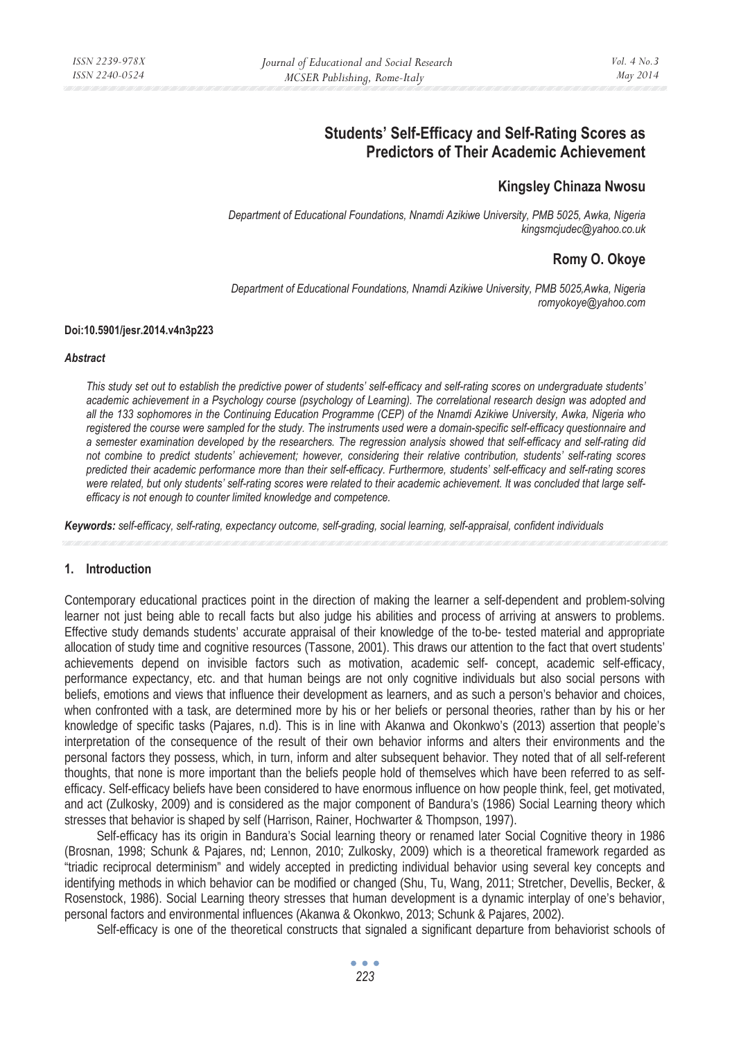# **Students' Self-Efficacy and Self-Rating Scores as Predictors of Their Academic Achievement**

# **Kingsley Chinaza Nwosu**

*Department of Educational Foundations, Nnamdi Azikiwe University, PMB 5025, Awka, Nigeria kingsmcjudec@yahoo.co.uk* 

# **Romy O. Okoye**

*Department of Educational Foundations, Nnamdi Azikiwe University, PMB 5025,Awka, Nigeria romyokoye@yahoo.com* 

#### **Doi:10.5901/jesr.2014.v4n3p223**

#### *Abstract*

*This study set out to establish the predictive power of students' self-efficacy and self-rating scores on undergraduate students' academic achievement in a Psychology course (psychology of Learning). The correlational research design was adopted and all the 133 sophomores in the Continuing Education Programme (CEP) of the Nnamdi Azikiwe University, Awka, Nigeria who*  registered the course were sampled for the study. The instruments used were a domain-specific self-efficacy questionnaire and *a semester examination developed by the researchers. The regression analysis showed that self-efficacy and self-rating did not combine to predict students' achievement; however, considering their relative contribution, students' self-rating scores predicted their academic performance more than their self-efficacy. Furthermore, students' self-efficacy and self-rating scores were related, but only students' self-rating scores were related to their academic achievement. It was concluded that large selfefficacy is not enough to counter limited knowledge and competence.* 

*Keywords: self-efficacy, self-rating, expectancy outcome, self-grading, social learning, self-appraisal, confident individuals* 

### **1. Introduction**

Contemporary educational practices point in the direction of making the learner a self-dependent and problem-solving learner not just being able to recall facts but also judge his abilities and process of arriving at answers to problems. Effective study demands students' accurate appraisal of their knowledge of the to-be- tested material and appropriate allocation of study time and cognitive resources (Tassone, 2001). This draws our attention to the fact that overt students' achievements depend on invisible factors such as motivation, academic self- concept, academic self-efficacy, performance expectancy, etc. and that human beings are not only cognitive individuals but also social persons with beliefs, emotions and views that influence their development as learners, and as such a person's behavior and choices, when confronted with a task, are determined more by his or her beliefs or personal theories, rather than by his or her knowledge of specific tasks (Pajares, n.d). This is in line with Akanwa and Okonkwo's (2013) assertion that people's interpretation of the consequence of the result of their own behavior informs and alters their environments and the personal factors they possess, which, in turn, inform and alter subsequent behavior. They noted that of all self-referent thoughts, that none is more important than the beliefs people hold of themselves which have been referred to as selfefficacy. Self-efficacy beliefs have been considered to have enormous influence on how people think, feel, get motivated, and act (Zulkosky, 2009) and is considered as the major component of Bandura's (1986) Social Learning theory which stresses that behavior is shaped by self (Harrison, Rainer, Hochwarter & Thompson, 1997).

Self-efficacy has its origin in Bandura's Social learning theory or renamed later Social Cognitive theory in 1986 (Brosnan, 1998; Schunk & Pajares, nd; Lennon, 2010; Zulkosky, 2009) which is a theoretical framework regarded as "triadic reciprocal determinism" and widely accepted in predicting individual behavior using several key concepts and identifying methods in which behavior can be modified or changed (Shu, Tu, Wang, 2011; Stretcher, Devellis, Becker, & Rosenstock, 1986). Social Learning theory stresses that human development is a dynamic interplay of one's behavior, personal factors and environmental influences (Akanwa & Okonkwo, 2013; Schunk & Pajares, 2002).

Self-efficacy is one of the theoretical constructs that signaled a significant departure from behaviorist schools of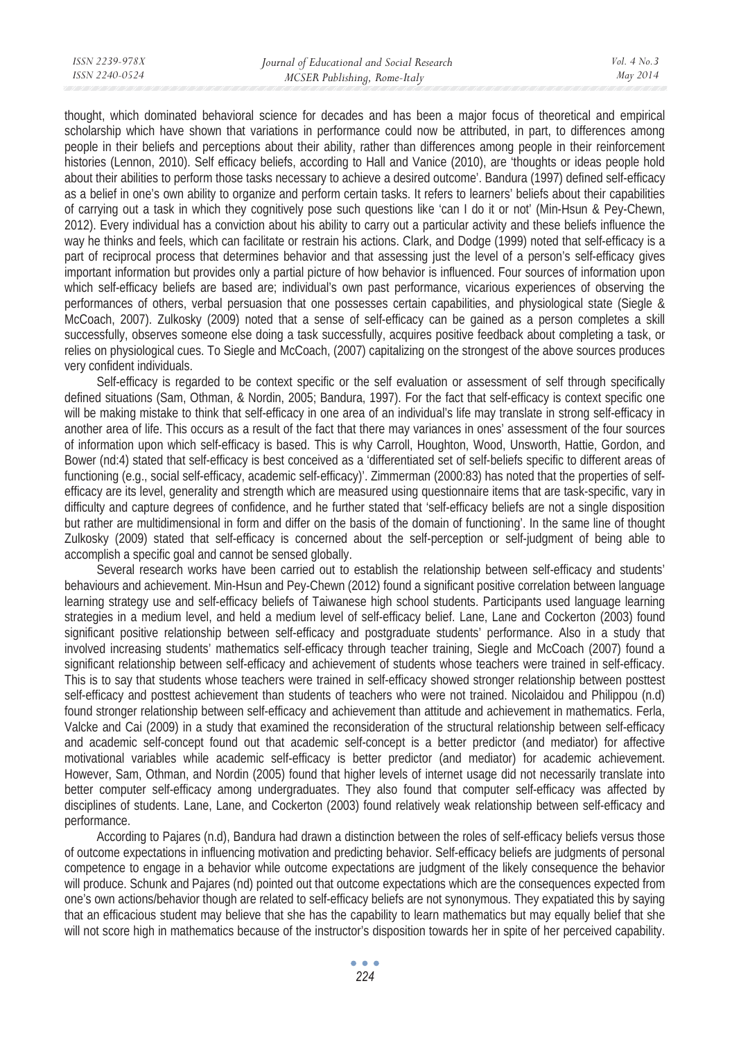thought, which dominated behavioral science for decades and has been a major focus of theoretical and empirical scholarship which have shown that variations in performance could now be attributed, in part, to differences among people in their beliefs and perceptions about their ability, rather than differences among people in their reinforcement histories (Lennon, 2010). Self efficacy beliefs, according to Hall and Vanice (2010), are 'thoughts or ideas people hold about their abilities to perform those tasks necessary to achieve a desired outcome'. Bandura (1997) defined self-efficacy as a belief in one's own ability to organize and perform certain tasks. It refers to learners' beliefs about their capabilities of carrying out a task in which they cognitively pose such questions like 'can I do it or not' (Min-Hsun & Pey-Chewn, 2012). Every individual has a conviction about his ability to carry out a particular activity and these beliefs influence the way he thinks and feels, which can facilitate or restrain his actions. Clark, and Dodge (1999) noted that self-efficacy is a part of reciprocal process that determines behavior and that assessing just the level of a person's self-efficacy gives important information but provides only a partial picture of how behavior is influenced. Four sources of information upon which self-efficacy beliefs are based are; individual's own past performance, vicarious experiences of observing the performances of others, verbal persuasion that one possesses certain capabilities, and physiological state (Siegle & McCoach, 2007). Zulkosky (2009) noted that a sense of self-efficacy can be gained as a person completes a skill successfully, observes someone else doing a task successfully, acquires positive feedback about completing a task, or relies on physiological cues. To Siegle and McCoach, (2007) capitalizing on the strongest of the above sources produces very confident individuals.

Self-efficacy is regarded to be context specific or the self evaluation or assessment of self through specifically defined situations (Sam, Othman, & Nordin, 2005; Bandura, 1997). For the fact that self-efficacy is context specific one will be making mistake to think that self-efficacy in one area of an individual's life may translate in strong self-efficacy in another area of life. This occurs as a result of the fact that there may variances in ones' assessment of the four sources of information upon which self-efficacy is based. This is why Carroll, Houghton, Wood, Unsworth, Hattie, Gordon, and Bower (nd:4) stated that self-efficacy is best conceived as a 'differentiated set of self-beliefs specific to different areas of functioning (e.g., social self-efficacy, academic self-efficacy)'. Zimmerman (2000:83) has noted that the properties of selfefficacy are its level, generality and strength which are measured using questionnaire items that are task-specific, vary in difficulty and capture degrees of confidence, and he further stated that 'self-efficacy beliefs are not a single disposition but rather are multidimensional in form and differ on the basis of the domain of functioning'. In the same line of thought Zulkosky (2009) stated that self-efficacy is concerned about the self-perception or self-judgment of being able to accomplish a specific goal and cannot be sensed globally.

Several research works have been carried out to establish the relationship between self-efficacy and students' behaviours and achievement. Min-Hsun and Pey-Chewn (2012) found a significant positive correlation between language learning strategy use and self-efficacy beliefs of Taiwanese high school students. Participants used language learning strategies in a medium level, and held a medium level of self-efficacy belief. Lane, Lane and Cockerton (2003) found significant positive relationship between self-efficacy and postgraduate students' performance. Also in a study that involved increasing students' mathematics self-efficacy through teacher training, Siegle and McCoach (2007) found a significant relationship between self-efficacy and achievement of students whose teachers were trained in self-efficacy. This is to say that students whose teachers were trained in self-efficacy showed stronger relationship between posttest self-efficacy and posttest achievement than students of teachers who were not trained. Nicolaidou and Philippou (n.d) found stronger relationship between self-efficacy and achievement than attitude and achievement in mathematics. Ferla, Valcke and Cai (2009) in a study that examined the reconsideration of the structural relationship between self-efficacy and academic self-concept found out that academic self-concept is a better predictor (and mediator) for affective motivational variables while academic self-efficacy is better predictor (and mediator) for academic achievement. However, Sam, Othman, and Nordin (2005) found that higher levels of internet usage did not necessarily translate into better computer self-efficacy among undergraduates. They also found that computer self-efficacy was affected by disciplines of students. Lane, Lane, and Cockerton (2003) found relatively weak relationship between self-efficacy and performance.

According to Pajares (n.d), Bandura had drawn a distinction between the roles of self-efficacy beliefs versus those of outcome expectations in influencing motivation and predicting behavior. Self-efficacy beliefs are judgments of personal competence to engage in a behavior while outcome expectations are judgment of the likely consequence the behavior will produce. Schunk and Pajares (nd) pointed out that outcome expectations which are the consequences expected from one's own actions/behavior though are related to self-efficacy beliefs are not synonymous. They expatiated this by saying that an efficacious student may believe that she has the capability to learn mathematics but may equally belief that she will not score high in mathematics because of the instructor's disposition towards her in spite of her perceived capability.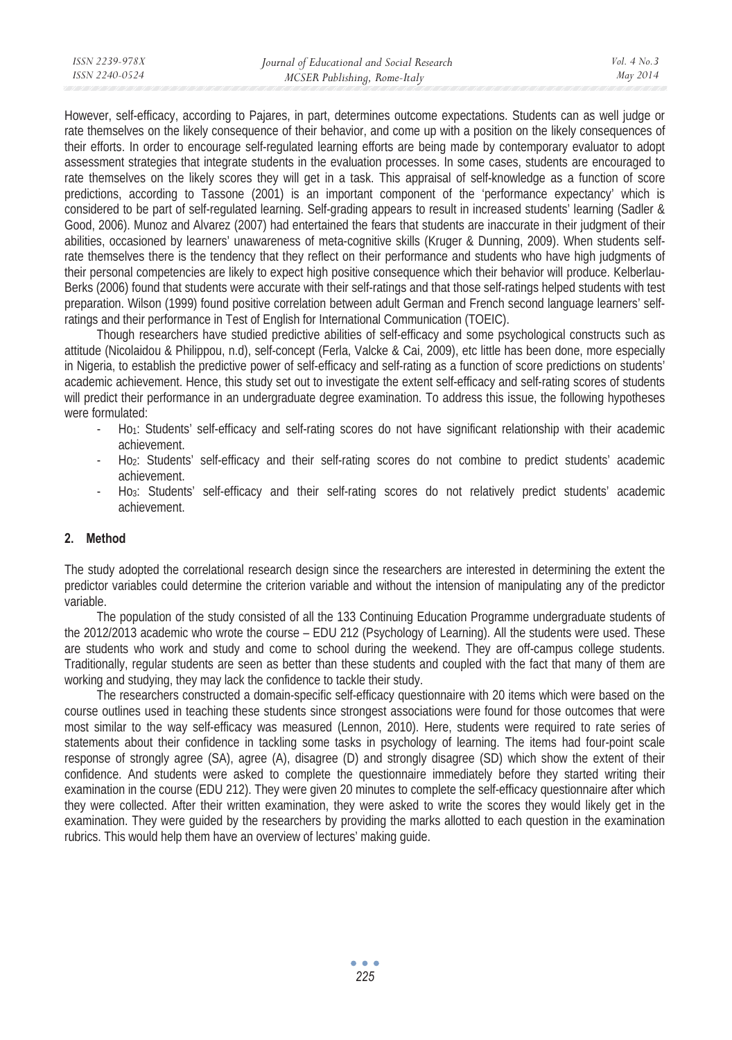However, self-efficacy, according to Pajares, in part, determines outcome expectations. Students can as well judge or rate themselves on the likely consequence of their behavior, and come up with a position on the likely consequences of their efforts. In order to encourage self-regulated learning efforts are being made by contemporary evaluator to adopt assessment strategies that integrate students in the evaluation processes. In some cases, students are encouraged to rate themselves on the likely scores they will get in a task. This appraisal of self-knowledge as a function of score predictions, according to Tassone (2001) is an important component of the 'performance expectancy' which is considered to be part of self-regulated learning. Self-grading appears to result in increased students' learning (Sadler & Good, 2006). Munoz and Alvarez (2007) had entertained the fears that students are inaccurate in their judgment of their abilities, occasioned by learners' unawareness of meta-cognitive skills (Kruger & Dunning, 2009). When students selfrate themselves there is the tendency that they reflect on their performance and students who have high judgments of their personal competencies are likely to expect high positive consequence which their behavior will produce. Kelberlau-Berks (2006) found that students were accurate with their self-ratings and that those self-ratings helped students with test preparation. Wilson (1999) found positive correlation between adult German and French second language learners' selfratings and their performance in Test of English for International Communication (TOEIC).

Though researchers have studied predictive abilities of self-efficacy and some psychological constructs such as attitude (Nicolaidou & Philippou, n.d), self-concept (Ferla, Valcke & Cai, 2009), etc little has been done, more especially in Nigeria, to establish the predictive power of self-efficacy and self-rating as a function of score predictions on students' academic achievement. Hence, this study set out to investigate the extent self-efficacy and self-rating scores of students will predict their performance in an undergraduate degree examination. To address this issue, the following hypotheses were formulated:

- Ho1: Students' self-efficacy and self-rating scores do not have significant relationship with their academic achievement.
- Ho2: Students' self-efficacy and their self-rating scores do not combine to predict students' academic achievement.
- Ho3: Students' self-efficacy and their self-rating scores do not relatively predict students' academic achievement.

# **2. Method**

The study adopted the correlational research design since the researchers are interested in determining the extent the predictor variables could determine the criterion variable and without the intension of manipulating any of the predictor variable.

The population of the study consisted of all the 133 Continuing Education Programme undergraduate students of the 2012/2013 academic who wrote the course – EDU 212 (Psychology of Learning). All the students were used. These are students who work and study and come to school during the weekend. They are off-campus college students. Traditionally, regular students are seen as better than these students and coupled with the fact that many of them are working and studying, they may lack the confidence to tackle their study.

The researchers constructed a domain-specific self-efficacy questionnaire with 20 items which were based on the course outlines used in teaching these students since strongest associations were found for those outcomes that were most similar to the way self-efficacy was measured (Lennon, 2010). Here, students were required to rate series of statements about their confidence in tackling some tasks in psychology of learning. The items had four-point scale response of strongly agree (SA), agree (A), disagree (D) and strongly disagree (SD) which show the extent of their confidence. And students were asked to complete the questionnaire immediately before they started writing their examination in the course (EDU 212). They were given 20 minutes to complete the self-efficacy questionnaire after which they were collected. After their written examination, they were asked to write the scores they would likely get in the examination. They were guided by the researchers by providing the marks allotted to each question in the examination rubrics. This would help them have an overview of lectures' making guide.

> $\sim$   $\sim$   $\sim$ *225*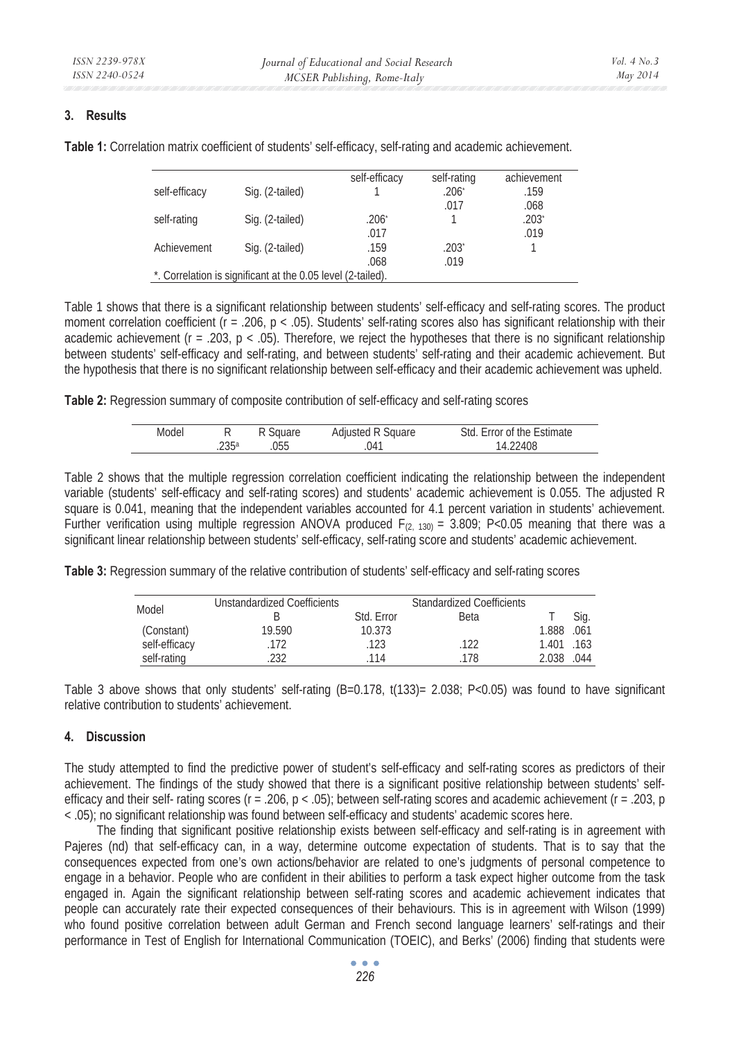# **3. Results**

|               |                                                             | self-efficacy | self-rating         | achievement         |
|---------------|-------------------------------------------------------------|---------------|---------------------|---------------------|
| self-efficacy | Sig. (2-tailed)                                             |               | .206 <sup>°</sup>   | .159                |
|               |                                                             |               | .017                | .068                |
| self-rating   | Sig. (2-tailed)                                             | $.206+$       |                     | $.203$ <sup>*</sup> |
|               |                                                             | .017          |                     | .019                |
| Achievement   | Sig. (2-tailed)                                             | .159          | $.203$ <sup>*</sup> |                     |
|               |                                                             | .068          | .019                |                     |
|               | *. Correlation is significant at the 0.05 level (2-tailed). |               |                     |                     |

**Table 1:** Correlation matrix coefficient of students' self-efficacy, self-rating and academic achievement.

Table 1 shows that there is a significant relationship between students' self-efficacy and self-rating scores. The product moment correlation coefficient ( $r = .206$ ,  $p < .05$ ). Students' self-rating scores also has significant relationship with their academic achievement ( $r = .203$ ,  $p < .05$ ). Therefore, we reject the hypotheses that there is no significant relationship between students' self-efficacy and self-rating, and between students' self-rating and their academic achievement. But the hypothesis that there is no significant relationship between self-efficacy and their academic achievement was upheld.

**Table 2:** Regression summary of composite contribution of self-efficacy and self-rating scores

| Model |      | Square | Adjusted R Square | Std. Error of the Estimate |
|-------|------|--------|-------------------|----------------------------|
|       | 235a | 055    | 041               | .22408                     |

Table 2 shows that the multiple regression correlation coefficient indicating the relationship between the independent variable (students' self-efficacy and self-rating scores) and students' academic achievement is 0.055. The adjusted R square is 0.041, meaning that the independent variables accounted for 4.1 percent variation in students' achievement. Further verification using multiple regression ANOVA produced  $F(z, 130) = 3.809$ ; P<0.05 meaning that there was a significant linear relationship between students' self-efficacy, self-rating score and students' academic achievement.

**Table 3:** Regression summary of the relative contribution of students' self-efficacy and self-rating scores

| Model         | <b>Unstandardized Coefficients</b> |            | <b>Standardized Coefficients</b> |            |      |
|---------------|------------------------------------|------------|----------------------------------|------------|------|
|               |                                    | Std. Error | <b>Beta</b>                      |            | Sig. |
| (Constant)    | 19.590                             | 10.373     |                                  | 1.888 .061 |      |
| self-efficacy | 172                                | 123        | .122                             | 1.401 163  |      |
| self-rating   | 232                                | 114        | 178                              | 2.038      | .044 |

Table 3 above shows that only students' self-rating (B=0.178, t(133)= 2.038; P<0.05) was found to have significant relative contribution to students' achievement.

## **4. Discussion**

The study attempted to find the predictive power of student's self-efficacy and self-rating scores as predictors of their achievement. The findings of the study showed that there is a significant positive relationship between students' selfefficacy and their self- rating scores ( $r = .206$ ,  $p < .05$ ); between self-rating scores and academic achievement ( $r = .203$ , p < .05); no significant relationship was found between self-efficacy and students' academic scores here.

The finding that significant positive relationship exists between self-efficacy and self-rating is in agreement with Pajeres (nd) that self-efficacy can, in a way, determine outcome expectation of students. That is to say that the consequences expected from one's own actions/behavior are related to one's judgments of personal competence to engage in a behavior. People who are confident in their abilities to perform a task expect higher outcome from the task engaged in. Again the significant relationship between self-rating scores and academic achievement indicates that people can accurately rate their expected consequences of their behaviours. This is in agreement with Wilson (1999) who found positive correlation between adult German and French second language learners' self-ratings and their performance in Test of English for International Communication (TOEIC), and Berks' (2006) finding that students were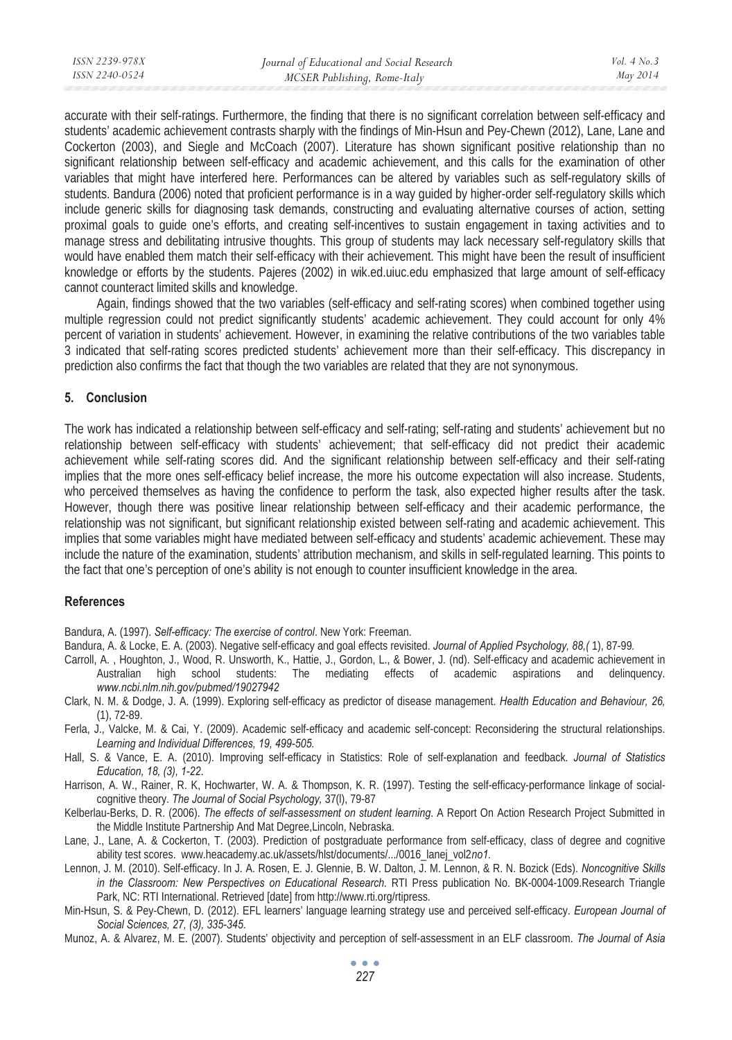| ISSN 2239-978X | Journal of Educational and Social Research | Vol. $4$ No. $3$ |
|----------------|--------------------------------------------|------------------|
| ISSN 2240-0524 | MCSER Publishing, Rome-Italy               | May 2014         |
|                |                                            |                  |

accurate with their self-ratings. Furthermore, the finding that there is no significant correlation between self-efficacy and students' academic achievement contrasts sharply with the findings of Min-Hsun and Pey-Chewn (2012), Lane, Lane and Cockerton (2003), and Siegle and McCoach (2007). Literature has shown significant positive relationship than no significant relationship between self-efficacy and academic achievement, and this calls for the examination of other variables that might have interfered here. Performances can be altered by variables such as self-regulatory skills of students. Bandura (2006) noted that proficient performance is in a way guided by higher-order self-regulatory skills which include generic skills for diagnosing task demands, constructing and evaluating alternative courses of action, setting proximal goals to guide one's efforts, and creating self-incentives to sustain engagement in taxing activities and to manage stress and debilitating intrusive thoughts. This group of students may lack necessary self-regulatory skills that would have enabled them match their self-efficacy with their achievement. This might have been the result of insufficient knowledge or efforts by the students. Pajeres (2002) in wik.ed.uiuc.edu emphasized that large amount of self-efficacy cannot counteract limited skills and knowledge.

Again, findings showed that the two variables (self-efficacy and self-rating scores) when combined together using multiple regression could not predict significantly students' academic achievement. They could account for only 4% percent of variation in students' achievement. However, in examining the relative contributions of the two variables table 3 indicated that self-rating scores predicted students' achievement more than their self-efficacy. This discrepancy in prediction also confirms the fact that though the two variables are related that they are not synonymous.

### **5. Conclusion**

The work has indicated a relationship between self-efficacy and self-rating; self-rating and students' achievement but no relationship between self-efficacy with students' achievement; that self-efficacy did not predict their academic achievement while self-rating scores did. And the significant relationship between self-efficacy and their self-rating implies that the more ones self-efficacy belief increase, the more his outcome expectation will also increase. Students, who perceived themselves as having the confidence to perform the task, also expected higher results after the task. However, though there was positive linear relationship between self-efficacy and their academic performance, the relationship was not significant, but significant relationship existed between self-rating and academic achievement. This implies that some variables might have mediated between self-efficacy and students' academic achievement. These may include the nature of the examination, students' attribution mechanism, and skills in self-regulated learning. This points to the fact that one's perception of one's ability is not enough to counter insufficient knowledge in the area.

## **References**

Bandura, A. (1997). *Self-efficacy: The exercise of control*. New York: Freeman.

- Bandura, A. & Locke, E. A. (2003). Negative self-efficacy and goal effects revisited. *Journal of Applied Psychology, 88,(* 1), 87-99*.*
- Carroll, A. , Houghton, J., Wood, R. Unsworth, K., Hattie, J., Gordon, L., & Bower, J. (nd). Self-efficacy and academic achievement in The mediating effects of academic aspirations and delinquency. *www.ncbi.nlm.nih.gov/pubmed/19027942*
- Clark, N. M. & Dodge, J. A. (1999). Exploring self-efficacy as predictor of disease management. *Health Education and Behaviour, 26,*  (1), 72-89.
- Ferla, J., Valcke, M. & Cai, Y. (2009). Academic self-efficacy and academic self-concept: Reconsidering the structural relationships. *Learning and Individual Differences, 19, 499-505.*
- Hall, S. & Vance, E. A. (2010). Improving self-efficacy in Statistics: Role of self-explanation and feedback. *Journal of Statistics Education, 18, (3), 1-22*.

Harrison, A. W., Rainer, R. K, Hochwarter, W. A. & Thompson, K. R. (1997). Testing the self-efficacy-performance linkage of socialcognitive theory. *The Journal of Social Psychology,* 37(l), 79-87

- Kelberlau-Berks, D. R. (2006). *The effects of self-assessment on student learning*. A Report On Action Research Project Submitted in the Middle Institute Partnership And Mat Degree,Lincoln, Nebraska.
- Lane, J., Lane, A. & Cockerton, T. (2003). Prediction of postgraduate performance from self-efficacy, class of degree and cognitive ability test scores. www.heacademy.ac.uk/assets/hlst/documents/.../0016\_lanej\_vol2*no1.*
- Lennon, J. M. (2010). Self-efficacy. In J. A. Rosen, E. J. Glennie, B. W. Dalton, J. M. Lennon, & R. N. Bozick (Eds). *Noncognitive Skills in the Classroom: New Perspectives on Educational Research.* RTI Press publication No. BK-0004-1009.Research Triangle Park, NC: RTI International. Retrieved [date] from http://www.rti.org/rtipress.
- Min-Hsun, S. & Pey-Chewn, D. (2012). EFL learners' language learning strategy use and perceived self-efficacy. *European Journal of Social Sciences, 27, (3), 335-345*.
- Munoz, A. & Alvarez, M. E. (2007). Students' objectivity and perception of self-assessment in an ELF classroom. *The Journal of Asia*